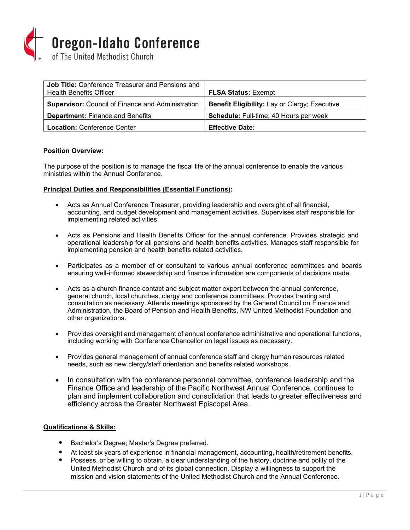

| <b>Job Title:</b> Conference Treasurer and Pensions and<br><b>Health Benefits Officer</b> | <b>FLSA Status: Exempt</b>                           |
|-------------------------------------------------------------------------------------------|------------------------------------------------------|
| <b>Supervisor:</b> Council of Finance and Administration                                  | <b>Benefit Eligibility: Lay or Clergy; Executive</b> |
| <b>Department:</b> Finance and Benefits                                                   | Schedule: Full-time; 40 Hours per week               |
| <b>Location: Conference Center</b>                                                        | <b>Effective Date:</b>                               |

# **Position Overview:**

The purpose of the position is to manage the fiscal life of the annual conference to enable the various ministries within the Annual Conference.

## **Principal Duties and Responsibilities (Essential Functions):**

- Acts as Annual Conference Treasurer, providing leadership and oversight of all financial, accounting, and budget development and management activities. Supervises staff responsible for implementing related activities.
- Acts as Pensions and Health Benefits Officer for the annual conference. Provides strategic and operational leadership for all pensions and health benefits activities. Manages staff responsible for implementing pension and health benefits related activities.
- Participates as a member of or consultant to various annual conference committees and boards ensuring well-informed stewardship and finance information are components of decisions made.
- Acts as a church finance contact and subject matter expert between the annual conference, general church, local churches, clergy and conference committees. Provides training and consultation as necessary. Attends meetings sponsored by the General Council on Finance and Administration, the Board of Pension and Health Benefits, NW United Methodist Foundation and other organizations.
- Provides oversight and management of annual conference administrative and operational functions, including working with Conference Chancellor on legal issues as necessary.
- Provides general management of annual conference staff and clergy human resources related needs, such as new clergy/staff orientation and benefits related workshops.
- In consultation with the conference personnel committee, conference leadership and the Finance Office and leadership of the Pacific Northwest Annual Conference, continues to plan and implement collaboration and consolidation that leads to greater effectiveness and efficiency across the Greater Northwest Episcopal Area.

## **Qualifications & Skills:**

- Bachelor's Degree; Master's Degree preferred.
- At least six years of experience in financial management, accounting, health/retirement benefits.
- Possess, or be willing to obtain, a clear understanding of the history, doctrine and polity of the United Methodist Church and of its global connection. Display a willingness to support the mission and vision statements of the United Methodist Church and the Annual Conference.